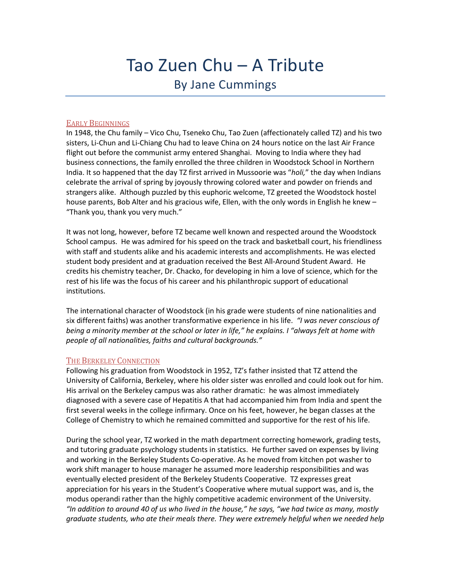# Tao Zuen Chu – A Tribute By Jane Cummings

## EARLY BEGINNINGS

In 1948, the Chu family – Vico Chu, Tseneko Chu, Tao Zuen (affectionately called TZ) and his two sisters, Li-Chun and Li-Chiang Chu had to leave China on 24 hours notice on the last Air France flight out before the communist army entered Shanghai. Moving to India where they had business connections, the family enrolled the three children in Woodstock School in Northern India. It so happened that the day TZ first arrived in Mussoorie was "*holi,*" the day when Indians celebrate the arrival of spring by joyously throwing colored water and powder on friends and strangers alike. Although puzzled by this euphoric welcome, TZ greeted the Woodstock hostel house parents, Bob Alter and his gracious wife, Ellen, with the only words in English he knew – "Thank you, thank you very much."

It was not long, however, before TZ became well known and respected around the Woodstock School campus. He was admired for his speed on the track and basketball court, his friendliness with staff and students alike and his academic interests and accomplishments. He was elected student body president and at graduation received the Best All-Around Student Award. He credits his chemistry teacher, Dr. Chacko, for developing in him a love of science, which for the rest of his life was the focus of his career and his philanthropic support of educational institutions.

The international character of Woodstock (in his grade were students of nine nationalities and six different faiths) was another transformative experience in his life. *"I was never conscious of being a minority member at the school or later in life," he explains. I "always felt at home with people of all nationalities, faiths and cultural backgrounds."*

#### THE BERKELEY CONNECTION

Following his graduation from Woodstock in 1952, TZ's father insisted that TZ attend the University of California, Berkeley, where his older sister was enrolled and could look out for him. His arrival on the Berkeley campus was also rather dramatic: he was almost immediately diagnosed with a severe case of Hepatitis A that had accompanied him from India and spent the first several weeks in the college infirmary. Once on his feet, however, he began classes at the College of Chemistry to which he remained committed and supportive for the rest of his life.

During the school year, TZ worked in the math department correcting homework, grading tests, and tutoring graduate psychology students in statistics. He further saved on expenses by living and working in the Berkeley Students Co-operative. As he moved from kitchen pot washer to work shift manager to house manager he assumed more leadership responsibilities and was eventually elected president of the Berkeley Students Cooperative. TZ expresses great appreciation for his years in the Student's Cooperative where mutual support was, and is, the modus operandi rather than the highly competitive academic environment of the University. *"In addition to around 40 of us who lived in the house," he says, "we had twice as many, mostly graduate students, who ate their meals there. They were extremely helpful when we needed help*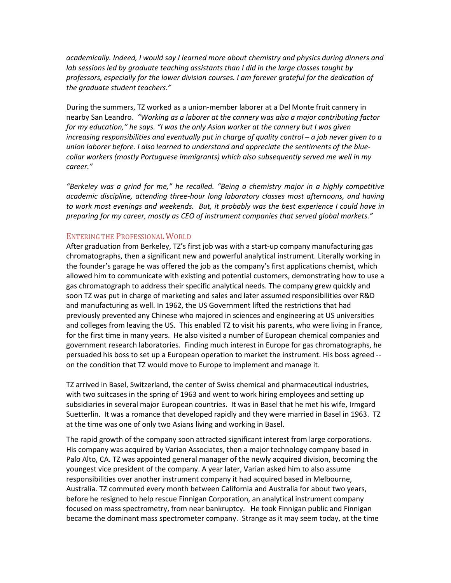*academically. Indeed, I would say I learned more about chemistry and physics during dinners and*  lab sessions led by graduate teaching assistants than I did in the large classes taught by *professors, especially for the lower division courses. I am forever grateful for the dedication of the graduate student teachers."*

During the summers, TZ worked as a union-member laborer at a Del Monte fruit cannery in nearby San Leandro. *"Working as a laborer at the cannery was also a major contributing factor for my education," he says. "I was the only Asian worker at the cannery but I was given increasing responsibilities and eventually put in charge of quality control – a job never given to a union laborer before. I also learned to understand and appreciate the sentiments of the bluecollar workers (mostly Portuguese immigrants) which also subsequently served me well in my career."*

*"Berkeley was a grind for me," he recalled. "Being a chemistry major in a highly competitive academic discipline, attending three-hour long laboratory classes most afternoons, and having to work most evenings and weekends. But, it probably was the best experience I could have in preparing for my career, mostly as CEO of instrument companies that served global markets."* 

## ENTERING THE PROFESSIONAL WORLD

After graduation from Berkeley, TZ's first job was with a start-up company manufacturing gas chromatographs, then a significant new and powerful analytical instrument. Literally working in the founder's garage he was offered the job as the company's first applications chemist, which allowed him to communicate with existing and potential customers, demonstrating how to use a gas chromatograph to address their specific analytical needs. The company grew quickly and soon TZ was put in charge of marketing and sales and later assumed responsibilities over R&D and manufacturing as well. In 1962, the US Government lifted the restrictions that had previously prevented any Chinese who majored in sciences and engineering at US universities and colleges from leaving the US. This enabled TZ to visit his parents, who were living in France, for the first time in many years. He also visited a number of European chemical companies and government research laboratories. Finding much interest in Europe for gas chromatographs, he persuaded his boss to set up a European operation to market the instrument. His boss agreed - on the condition that TZ would move to Europe to implement and manage it.

TZ arrived in Basel, Switzerland, the center of Swiss chemical and pharmaceutical industries, with two suitcases in the spring of 1963 and went to work hiring employees and setting up subsidiaries in several major European countries. It was in Basel that he met his wife, Irmgard Suetterlin. It was a romance that developed rapidly and they were married in Basel in 1963. TZ at the time was one of only two Asians living and working in Basel.

The rapid growth of the company soon attracted significant interest from large corporations. His company was acquired by Varian Associates, then a major technology company based in Palo Alto, CA. TZ was appointed general manager of the newly acquired division, becoming the youngest vice president of the company. A year later, Varian asked him to also assume responsibilities over another instrument company it had acquired based in Melbourne, Australia. TZ commuted every month between California and Australia for about two years, before he resigned to help rescue Finnigan Corporation, an analytical instrument company focused on mass spectrometry, from near bankruptcy. He took Finnigan public and Finnigan became the dominant mass spectrometer company. Strange as it may seem today, at the time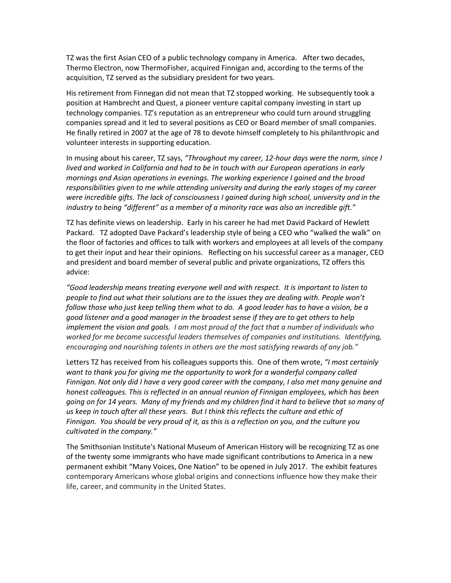TZ was the first Asian CEO of a public technology company in America. After two decades, Thermo Electron, now ThermoFisher, acquired Finnigan and, according to the terms of the acquisition, TZ served as the subsidiary president for two years.

His retirement from Finnegan did not mean that TZ stopped working. He subsequently took a position at Hambrecht and Quest, a pioneer venture capital company investing in start up technology companies. TZ's reputation as an entrepreneur who could turn around struggling companies spread and it led to several positions as CEO or Board member of small companies. He finally retired in 2007 at the age of 78 to devote himself completely to his philanthropic and volunteer interests in supporting education.

In musing about his career, TZ says, *"Throughout my career, 12-hour days were the norm, since I lived and worked in California and had to be in touch with our European operations in early mornings and Asian operations in evenings. The working experience I gained and the broad responsibilities given to me while attending university and during the early stages of my career were incredible gifts. The lack of consciousness I gained during high school, university and in the industry to being "different" as a member of a minority race was also an incredible gift."*

TZ has definite views on leadership. Early in his career he had met David Packard of Hewlett Packard. TZ adopted Dave Packard's leadership style of being a CEO who "walked the walk" on the floor of factories and offices to talk with workers and employees at all levels of the company to get their input and hear their opinions. Reflecting on his successful career as a manager, CEO and president and board member of several public and private organizations, TZ offers this advice:

*"Good leadership means treating everyone well and with respect. It is important to listen to people to find out what their solutions are to the issues they are dealing with. People won't follow those who just keep telling them what to do. A good leader has to have a vision, be a good listener and a good manager in the broadest sense if they are to get others to help implement the vision and goals. I am most proud of the fact that a number of individuals who worked for me became successful leaders themselves of companies and institutions. Identifying, encouraging and nourishing talents in others are the most satisfying rewards of any job."*

Letters TZ has received from his colleagues supports this. One of them wrote, *"I most certainly want to thank you for giving me the opportunity to work for a wonderful company called Finnigan. Not only did I have a very good career with the company, I also met many genuine and honest colleagues. This is reflected in an annual reunion of Finnigan employees, which has been going on for 14 years. Many of my friends and my children find it hard to believe that so many of us keep in touch after all these years. But I think this reflects the culture and ethic of Finnigan. You should be very proud of it, as this is a reflection on you, and the culture you cultivated in the company."*

The Smithsonian Institute's National Museum of American History will be recognizing TZ as one of the twenty some immigrants who have made significant contributions to America in a new permanent exhibit "Many Voices, One Nation" to be opened in July 2017. The exhibit features contemporary Americans whose global origins and connections influence how they make their life, career, and community in the United States.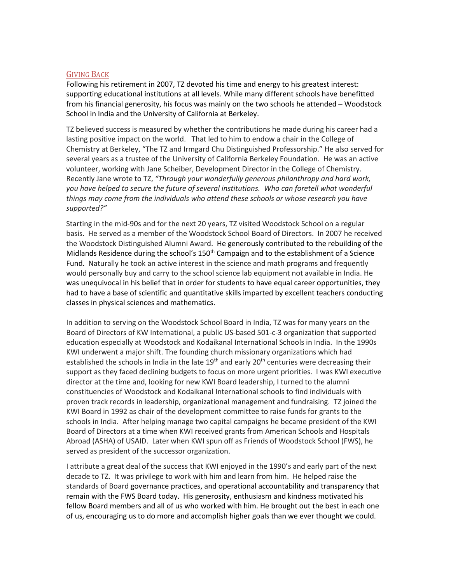### GIVING BACK

Following his retirement in 2007, TZ devoted his time and energy to his greatest interest: supporting educational institutions at all levels. While many different schools have benefitted from his financial generosity, his focus was mainly on the two schools he attended – Woodstock School in India and the University of California at Berkeley.

TZ believed success is measured by whether the contributions he made during his career had a lasting positive impact on the world. That led to him to endow a chair in the College of Chemistry at Berkeley, "The TZ and Irmgard Chu Distinguished Professorship." He also served for several years as a trustee of the University of California Berkeley Foundation. He was an active volunteer, working with Jane Scheiber, Development Director in the College of Chemistry. Recently Jane wrote to TZ, *"Through your wonderfully generous philanthropy and hard work,*  you have helped to secure the future of several institutions. Who can foretell what wonderful *things may come from the individuals who attend these schools or whose research you have supported?"* 

Starting in the mid-90s and for the next 20 years, TZ visited Woodstock School on a regular basis. He served as a member of the Woodstock School Board of Directors. In 2007 he received the Woodstock Distinguished Alumni Award. He generously contributed to the rebuilding of the Midlands Residence during the school's 150<sup>th</sup> Campaign and to the establishment of a Science Fund. Naturally he took an active interest in the science and math programs and frequently would personally buy and carry to the school science lab equipment not available in India. He was unequivocal in his belief that in order for students to have equal career opportunities, they had to have a base of scientific and quantitative skills imparted by excellent teachers conducting classes in physical sciences and mathematics.

In addition to serving on the Woodstock School Board in India, TZ was for many years on the Board of Directors of KW International, a public US-based 501-c-3 organization that supported education especially at Woodstock and Kodaikanal International Schools in India. In the 1990s KWI underwent a major shift. The founding church missionary organizations which had established the schools in India in the late  $19<sup>th</sup>$  and early  $20<sup>th</sup>$  centuries were decreasing their support as they faced declining budgets to focus on more urgent priorities. I was KWI executive director at the time and, looking for new KWI Board leadership, I turned to the alumni constituencies of Woodstock and Kodaikanal International schools to find individuals with proven track records in leadership, organizational management and fundraising. TZ joined the KWI Board in 1992 as chair of the development committee to raise funds for grants to the schools in India. After helping manage two capital campaigns he became president of the KWI Board of Directors at a time when KWI received grants from American Schools and Hospitals Abroad (ASHA) of USAID. Later when KWI spun off as Friends of Woodstock School (FWS), he served as president of the successor organization.

I attribute a great deal of the success that KWI enjoyed in the 1990's and early part of the next decade to TZ. It was privilege to work with him and learn from him. He helped raise the standards of Board governance practices, and operational accountability and transparency that remain with the FWS Board today. His generosity, enthusiasm and kindness motivated his fellow Board members and all of us who worked with him. He brought out the best in each one of us, encouraging us to do more and accomplish higher goals than we ever thought we could.